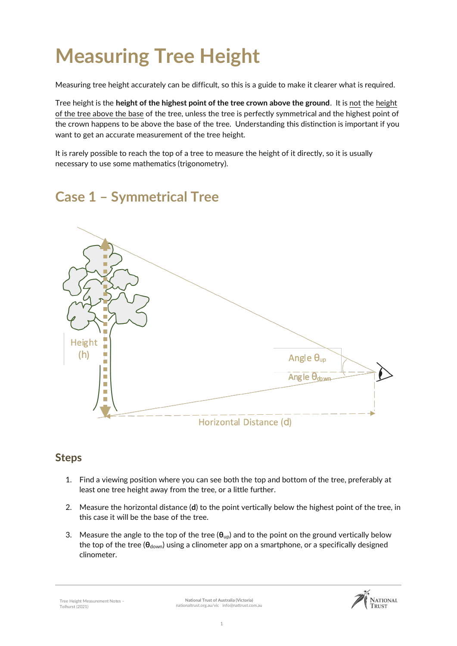# **Measuring Tree Height**

Measuring tree height accurately can be difficult, so this is a guide to make it clearer what is required.

Tree height is the **height of the highest point of the tree crown above the ground**. It is not the height of the tree above the base of the tree, unless the tree is perfectly symmetrical and the highest point of the crown happens to be above the base of the tree. Understanding this distinction is important if you want to get an accurate measurement of the tree height.

It is rarely possible to reach the top of a tree to measure the height of it directly, so it is usually necessary to use some mathematics (trigonometry).

## **Case 1 – Symmetrical Tree**



#### **Steps**

- 1. Find a viewing position where you can see both the top and bottom of the tree, preferably at least one tree height away from the tree, or a little further.
- 2. Measure the horizontal distance (**d**) to the point vertically below the highest point of the tree, in this case it will be the base of the tree.
- 3. Measure the angle to the top of the tree (**θ**up) and to the point on the ground vertically below the top of the tree (**θ**down) using a clinometer app on a smartphone, or a specifically designed clinometer.

Tree Height Measurement Notes – Tolhurst (2021)

**National Trust of Australia (Victoria)** nationaltrust.org.au/vic info@nattrust.com.au

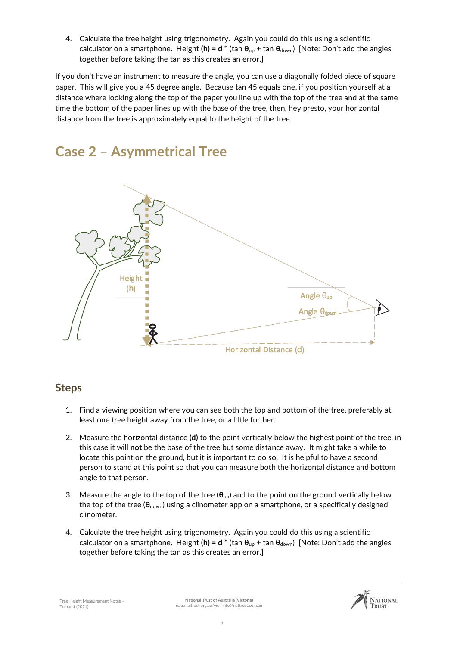4. Calculate the tree height using trigonometry. Again you could do this using a scientific calculator on a smartphone. Height (h) = d \* (tan  $θ_{up}$  + tan  $θ_{down}$ ) [Note: Don't add the angles together before taking the tan as this creates an error.]

If you don't have an instrument to measure the angle, you can use a diagonally folded piece of square paper. This will give you a 45 degree angle. Because tan 45 equals one, if you position yourself at a distance where looking along the top of the paper you line up with the top of the tree and at the same time the bottom of the paper lines up with the base of the tree, then, hey presto, your horizontal distance from the tree is approximately equal to the height of the tree.



### **Case 2 – Asymmetrical Tree**

#### **Steps**

- 1. Find a viewing position where you can see both the top and bottom of the tree, preferably at least one tree height away from the tree, or a little further.
- 2. Measure the horizontal distance **(d)** to the point vertically below the highest point of the tree, in this case it will **not** be the base of the tree but some distance away. It might take a while to locate this point on the ground, but it is important to do so. It is helpful to have a second person to stand at this point so that you can measure both the horizontal distance and bottom angle to that person.
- 3. Measure the angle to the top of the tree (**θ**up) and to the point on the ground vertically below the top of the tree (**θ**down) using a clinometer app on a smartphone, or a specifically designed clinometer.
- 4. Calculate the tree height using trigonometry. Again you could do this using a scientific calculator on a smartphone. Height **(h) = d \*** (tan **θ**up + tan **θ**down) [Note: Don't add the angles together before taking the tan as this creates an error.]

Tree Height Measurement Notes – Tolhurst (2021)

**National Trust of Australia (Victoria)** nationaltrust.org.au/vic info@nattrust.com.au

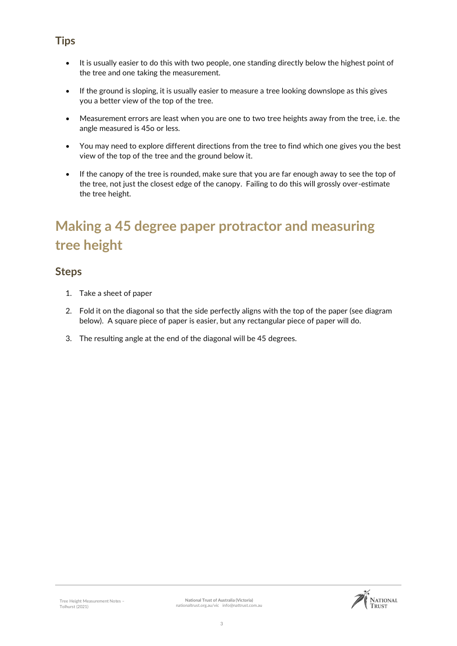- It is usually easier to do this with two people, one standing directly below the highest point of the tree and one taking the measurement.
- If the ground is sloping, it is usually easier to measure a tree looking downslope as this gives you a better view of the top of the tree.
- Measurement errors are least when you are one to two tree heights away from the tree, i.e. the angle measured is 45o or less.
- You may need to explore different directions from the tree to find which one gives you the best view of the top of the tree and the ground below it.
- If the canopy of the tree is rounded, make sure that you are far enough away to see the top of the tree, not just the closest edge of the canopy. Failing to do this will grossly over-estimate the tree height.

## **Making a 45 degree paper protractor and measuring tree height**

#### **Steps**

- 1. Take a sheet of paper
- 2. Fold it on the diagonal so that the side perfectly aligns with the top of the paper (see diagram below). A square piece of paper is easier, but any rectangular piece of paper will do.
- 3. The resulting angle at the end of the diagonal will be 45 degrees.



#### **Tips**